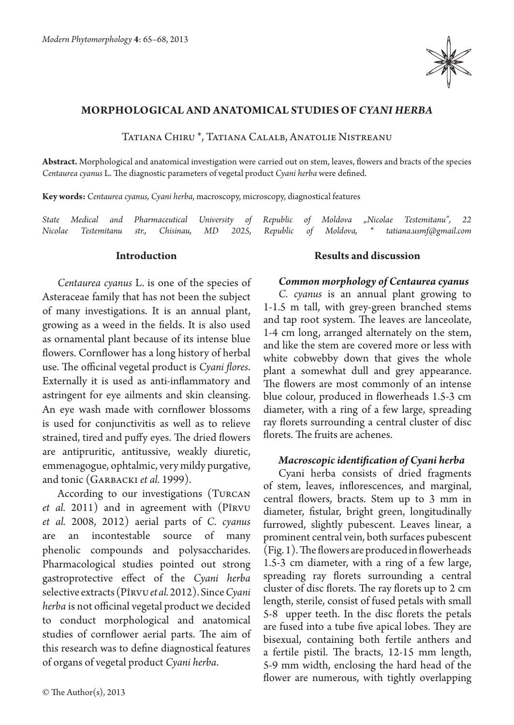

# **Morphological and anatomical studies of** *Cyani herba*

Tatiana Chiru \*, Tatiana Calalb, Anatolie Nistreanu

**Abstract.** Morphological and anatomical investigation were carried out on stem, leaves, flowers and bracts of the species *Centaurea cyanus* L. The diagnostic parameters of vegetal product *Cyani herba* were defined.

**Key words:** *Centaurea cyanus, Cyani herba*, macroscopy, microscopy, diagnostical features

*State Medical and Pharmaceutical University of Republic of Moldova "Nicolae Testemitanu", 22 Nicolae Testemitanu str., Chisinau, MD 2025, Republic of Moldova, \* tatiana.usmf@gmail.com*

#### **Introduction**

*Centaurea cyanus* L. is one of the species of Asteraceae family that has not been the subject of many investigations. It is an annual plant, growing as a weed in the fields. It is also used as ornamental plant because of its intense blue flowers. Cornflower has a long history of herbal use. The officinal vegetal product is *Cyani flores*. Externally it is used as anti-inflammatory and astringent for eye ailments and skin cleansing. An eye wash made with cornflower blossoms is used for conjunctivitis as well as to relieve strained, tired and puffy eyes. The dried flowers are antipruritic, antitussive, weakly diuretic, emmenagogue, ophtalmic, very mildy purgative, and tonic (Garbacki *et al.* 1999).

According to our investigations (Turcan *et al.* 2011) and in agreement with (Pîrvu *et al.* 2008, 2012) aerial parts of *C. cyanus* are an incontestable source of many phenolic compounds and polysaccharides. Pharmacological studies pointed out strong gastroprotective effect of the *Cyani herba*  selective extracts (Pîrvu *et al.* 2012). Since *Cyani herba* is not officinal vegetal product we decided to conduct morphological and anatomical studies of cornflower aerial parts. The aim of this research was to define diagnostical features of organs of vegetal product *Cyani herba*.

### **Results and discussion**

#### *Common morphology of Centaurea cyanus*

*C. cyanus* is an annual plant growing to 1-1.5 m tall, with grey-green branched stems and tap root system. The leaves are lanceolate, 1-4 cm long, arranged alternately on the stem, and like the stem are covered more or less with white cobwebby down that gives the whole plant a somewhat dull and grey appearance. The flowers are most commonly of an intense blue colour, produced in flowerheads 1.5-3 cm diameter, with a ring of a few large, spreading ray florets surrounding a central cluster of disc florets. The fruits are achenes.

#### *Macroscopic identification of Cyani herba*

Cyani herba consists of dried fragments of stem, leaves, inflorescences, and marginal, central flowers, bracts. Stem up to 3 mm in diameter, fistular, bright green, longitudinally furrowed, slightly pubescent. Leaves linear, a prominent central vein, both surfaces pubescent (Fig. 1). The flowers are produced in flowerheads 1.5-3 cm diameter, with a ring of a few large, spreading ray florets surrounding a central cluster of disc florets. The ray florets up to 2 cm length, sterile, consist of fused petals with small 5-8 upper teeth. In the disc florets the petals are fused into a tube five apical lobes. They are bisexual, containing both fertile anthers and a fertile pistil. The bracts, 12-15 mm length, 5-9 mm width, enclosing the hard head of the flower are numerous, with tightly overlapping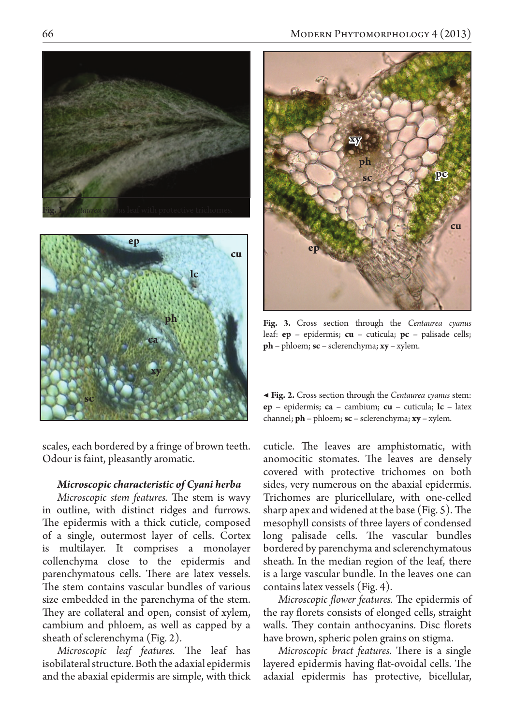



scales, each bordered by a fringe of brown teeth. Odour is faint, pleasantly aromatic.

# *Microscopic characteristic of Cyani herba*

*Microscopic stem features.* The stem is wavy in outline, with distinct ridges and furrows. The epidermis with a thick cuticle, composed of a single, outermost layer of cells. Cortex is multilayer. It comprises a monolayer collenchyma close to the epidermis and parenchymatous cells. There are latex vessels. The stem contains vascular bundles of various size embedded in the parenchyma of the stem. They are collateral and open, consist of xylem, cambium and phloem, as well as capped by a sheath of sclerenchyma (Fig. 2).

*Microscopic leaf features.* The leaf has isobilateral structure. Both the adaxial epidermis and the abaxial epidermis are simple, with thick



**Fig. 3.** Cross section through the *Centaurea cyanus* leaf: **ep** – epidermis; **cu** – cuticula; **pc** – palisade cells; **ph** – phloem; **sc** – sclerenchyma; **xy** – xylem.

| <b>Eig. 2.</b> Cross section through the Centaurea cyanus stem: |
|-----------------------------------------------------------------|
| $ep - epidermis$ ; ca – cambium; cu – cuticula; lc – latex      |
| channel; $ph$ – phloem; $sc$ – sclerenchyma; $xy$ – xylem.      |

cuticle. The leaves are amphistomatic, with anomocitic stomates. The leaves are densely covered with protective trichomes on both sides, very numerous on the abaxial epidermis. Trichomes are pluricellulare, with one-celled sharp apex and widened at the base (Fig. 5). The mesophyll consists of three layers of condensed long palisade cells. The vascular bundles bordered by parenchyma and sclerenchymatous sheath. In the median region of the leaf, there is a large vascular bundle. In the leaves one can contains latex vessels (Fig. 4).

*Microscopic flower features.* The epidermis of the ray florets consists of elonged cells, straight walls. They contain anthocyanins. Disc florets have brown, spheric polen grains on stigma.

*Microscopic bract features.* There is a single layered epidermis having flat-ovoidal cells. The adaxial epidermis has protective, bicellular,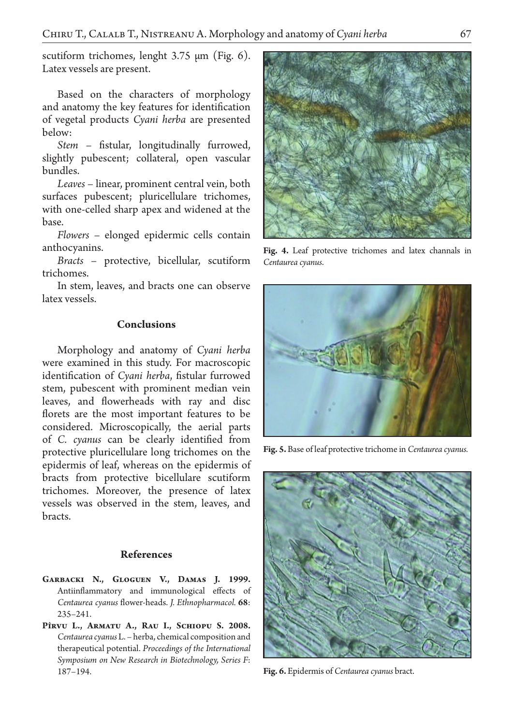scutiform trichomes, lenght 3.75 μm (Fig. 6). Latex vessels are present.

Based on the characters of morphology and anatomy the key features for identification of vegetal products *Cyani herba* are presented below:

*Stem* – fistular, longitudinally furrowed, slightly pubescent; collateral, open vascular bundles.

*Leaves* – linear, prominent central vein, both surfaces pubescent; pluricellulare trichomes, with one-celled sharp apex and widened at the base.

*Flowers* – elonged epidermic cells contain anthocyanins.

*Bracts* – protective, bicellular, scutiform trichomes.

In stem, leaves, and bracts one can observe latex vessels.

# **Conclusions**

Morphology and anatomy of *Cyani herba*  were examined in this study. For macroscopic identification of *Cyani herba*, fistular furrowed stem, pubescent with prominent median vein leaves, and flowerheads with ray and disc florets are the most important features to be considered. Microscopically, the aerial parts of *C. cyanus* can be clearly identified from protective pluricellulare long trichomes on the epidermis of leaf, whereas on the epidermis of bracts from protective bicellulare scutiform trichomes. Moreover, the presence of latex vessels was observed in the stem, leaves, and bracts.

# **References**

- **Garbacki N., Gloguen V., Damas J. 1999.**  Antiinflammatory and immunological effects of *Centaurea cyanus* flower-heads. *J. Ethnopharmacol.* **68**: 235–241.
- **Pîrvu L., Armatu A., Rau I., Schiopu S. 2008.**  *Centaurea cyanus* L. – herba, chemical composition and therapeutical potential. *Proceedings of the International Symposium on New Research in Biotechnology, Series F*: 187–194.



**Fig. 4.** Leaf protective trichomes and latex channals in *Centaurea cyanus*.



**Fig. 5.** Base of leaf protective trichome in *Centaurea cyanus.*



**Fig. 6.** Epidermis of *Centaurea cyanus* bract.